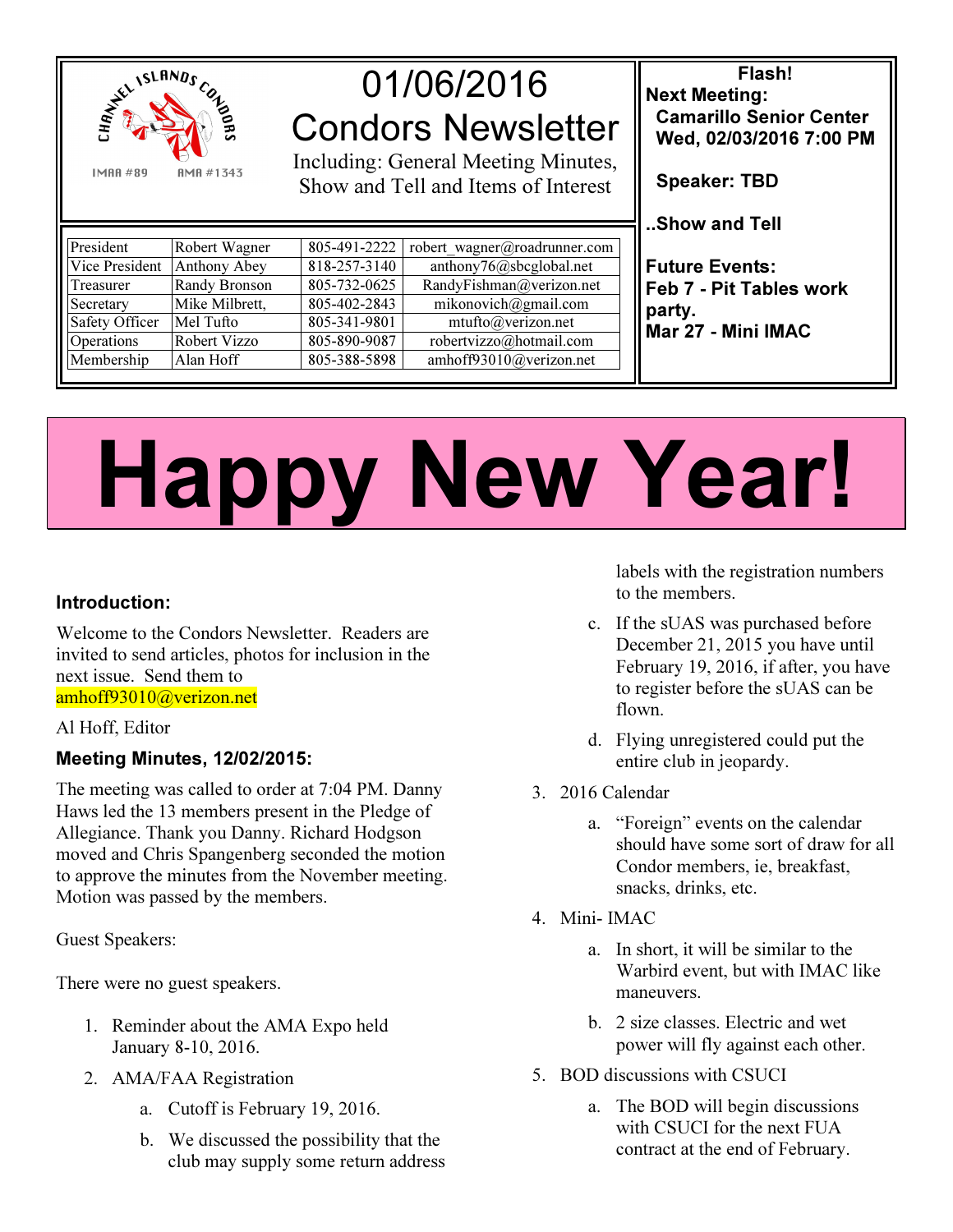

# 01/06/2016 Condors Newsletter

Including: General Meeting Minutes, Show and Tell and Items of Interest

Flash! Next Meeting: Camarillo Senior Center Wed, 02/03/2016 7:00 PM

work

Speaker: TBD

..Show and Tell

| President                   | Robert Wagner  |              | 805-491-2222   robert wagner@roadrunner.com |                                                                                                  |
|-----------------------------|----------------|--------------|---------------------------------------------|--------------------------------------------------------------------------------------------------|
| Vice President Anthony Abey |                | 818-257-3140 | anthony76@sbcglobal.net                     | <b>I</b> Future Events:<br><b>I</b> Feb 7 - Pit Tables w<br>$\vert$ party.<br>Mar 27 - Mini IMAC |
| Treasurer                   | Randy Bronson  | 805-732-0625 | RandyFishman@verizon.net                    |                                                                                                  |
| Secretary                   | Mike Milbrett. | 805-402-2843 | mikonovich@gmail.com                        |                                                                                                  |
| Safety Officer              | Mel Tufto      | 805-341-9801 | mutto@verizon.net                           |                                                                                                  |
| Operations                  | Robert Vizzo   | 805-890-9087 | robertvizzo@hotmail.com                     |                                                                                                  |
| Membership                  | Alan Hoff      | 805-388-5898 | amhoff93010@verizon.net                     |                                                                                                  |

# Happy New Year!

# Introduction:

Welcome to the Condors Newsletter. Readers are invited to send articles, photos for inclusion in the next issue. Send them to amhoff93010@verizon.net

#### Al Hoff, Editor

## Meeting Minutes, 12/02/2015:

The meeting was called to order at 7:04 PM. Danny Haws led the 13 members present in the Pledge of Allegiance. Thank you Danny. Richard Hodgson moved and Chris Spangenberg seconded the motion to approve the minutes from the November meeting. Motion was passed by the members.

Guest Speakers:

There were no guest speakers.

- 1. Reminder about the AMA Expo held January 8-10, 2016.
- 2. AMA/FAA Registration
	- a. Cutoff is February 19, 2016.
	- b. We discussed the possibility that the club may supply some return address

labels with the registration numbers to the members.

- c. If the sUAS was purchased before December 21, 2015 you have until February 19, 2016, if after, you have to register before the sUAS can be flown.
- d. Flying unregistered could put the entire club in jeopardy.
- 3. 2016 Calendar
	- a. "Foreign" events on the calendar should have some sort of draw for all Condor members, ie, breakfast, snacks, drinks, etc.
- 4. Mini- IMAC
	- a. In short, it will be similar to the Warbird event, but with IMAC like maneuvers.
	- b. 2 size classes. Electric and wet power will fly against each other.
- 5. BOD discussions with CSUCI
	- a. The BOD will begin discussions with CSUCI for the next FUA contract at the end of February.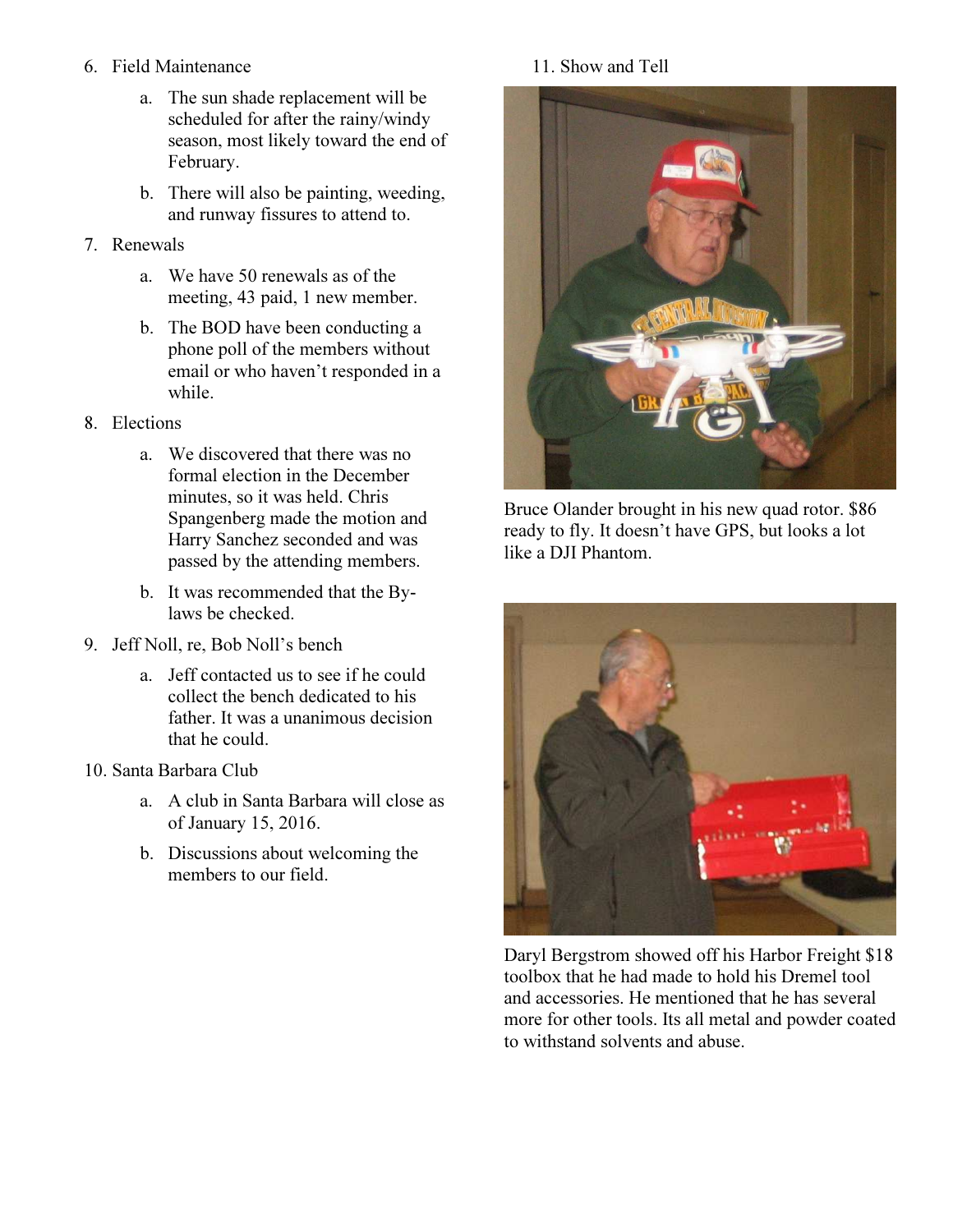- 6. Field Maintenance
	- a. The sun shade replacement will be scheduled for after the rainy/windy season, most likely toward the end of February.
	- b. There will also be painting, weeding, and runway fissures to attend to.
- 7. Renewals
	- a. We have 50 renewals as of the meeting, 43 paid, 1 new member.
	- b. The BOD have been conducting a phone poll of the members without email or who haven't responded in a while.
- 8. Elections
	- a. We discovered that there was no formal election in the December minutes, so it was held. Chris Spangenberg made the motion and Harry Sanchez seconded and was passed by the attending members.
	- b. It was recommended that the Bylaws be checked.
- 9. Jeff Noll, re, Bob Noll's bench
	- a. Jeff contacted us to see if he could collect the bench dedicated to his father. It was a unanimous decision that he could.
- 10. Santa Barbara Club
	- a. A club in Santa Barbara will close as of January 15, 2016.
	- b. Discussions about welcoming the members to our field.

## 11. Show and Tell



Bruce Olander brought in his new quad rotor. \$86 ready to fly. It doesn't have GPS, but looks a lot like a DJI Phantom.



Daryl Bergstrom showed off his Harbor Freight \$18 toolbox that he had made to hold his Dremel tool and accessories. He mentioned that he has several more for other tools. Its all metal and powder coated to withstand solvents and abuse.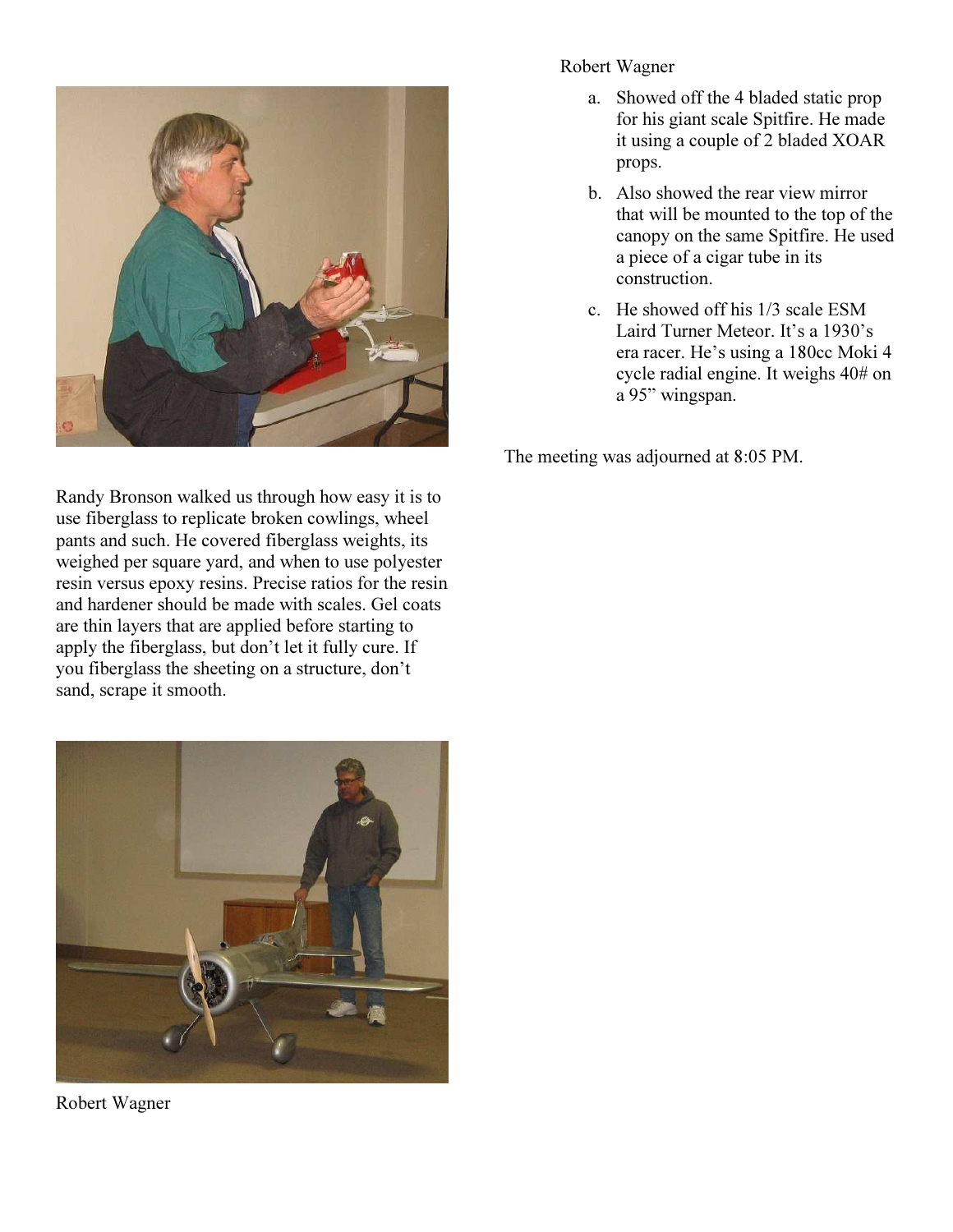

Randy Bronson walked us through how easy it is to use fiberglass to replicate broken cowlings, wheel pants and such. He covered fiberglass weights, its weighed per square yard, and when to use polyester resin versus epoxy resins. Precise ratios for the resin and hardener should be made with scales. Gel coats are thin layers that are applied before starting to apply the fiberglass, but don't let it fully cure. If you fiberglass the sheeting on a structure, don't sand, scrape it smooth.



Robert Wagner

#### Robert Wagner

- a. Showed off the 4 bladed static prop for his giant scale Spitfire. He made it using a couple of 2 bladed XOAR props.
- b. Also showed the rear view mirror that will be mounted to the top of the canopy on the same Spitfire. He used a piece of a cigar tube in its construction.
- c. He showed off his 1/3 scale ESM Laird Turner Meteor. It's a 1930's era racer. He's using a 180cc Moki 4 cycle radial engine. It weighs 40# on a 95" wingspan.

The meeting was adjourned at 8:05 PM.